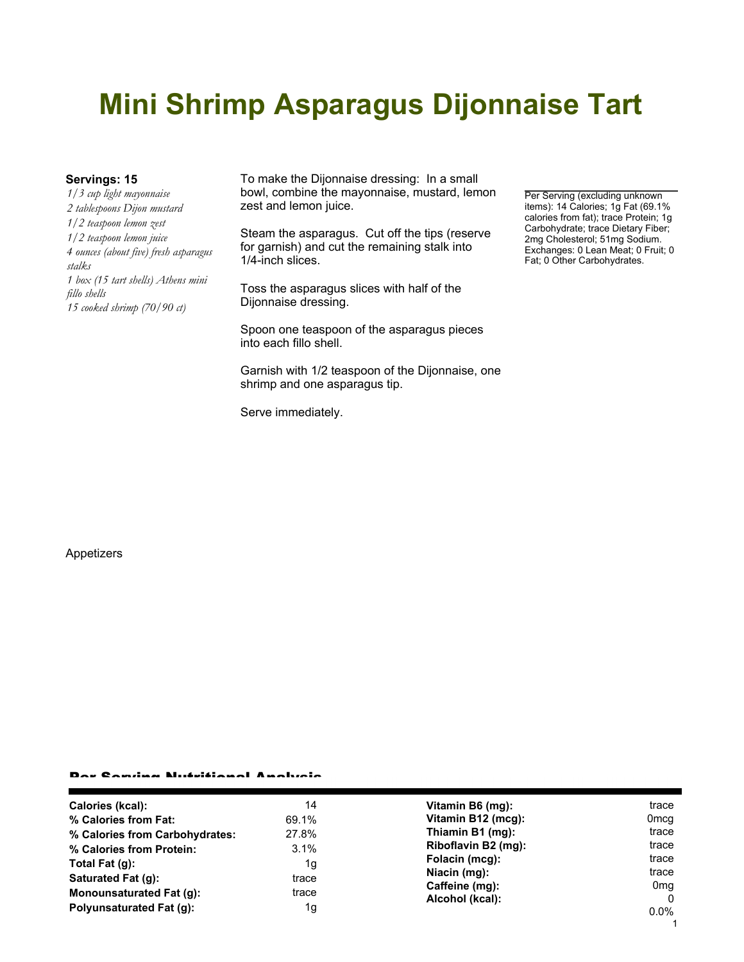# **Mini Shrimp Asparagus Dijonnaise Tart**

*1/3 cup light mayonnaise 2 tablespoons Dijon mustard 1/2 teaspoon lemon zest 1/2 teaspoon lemon juice 4 ounces (about five) fresh asparagus stalks 1 box (15 tart shells) Athens mini fillo shells 15 cooked shrimp (70/90 ct)*

**Servings: 15** To make the Dijonnaise dressing: In a small bowl, combine the mayonnaise, mustard, lemon zest and lemon juice.

> Steam the asparagus. Cut off the tips (reserve for garnish) and cut the remaining stalk into 1/4-inch slices.

Toss the asparagus slices with half of the Dijonnaise dressing.

Spoon one teaspoon of the asparagus pieces into each fillo shell.

Garnish with 1/2 teaspoon of the Dijonnaise, one shrimp and one asparagus tip.

Serve immediately.

Per Serving (excluding unknown items): 14 Calories; 1g Fat (69.1% calories from fat); trace Protein; 1g Carbohydrate; trace Dietary Fiber; 2mg Cholesterol; 51mg Sodium. Exchanges: 0 Lean Meat; 0 Fruit; 0 Fat; 0 Other Carbohydrates.

### Appetizers

#### Per Serving Nutritional Analysis

| Calories (kcal):                | 14    | Vitamin B6 (mg):                      | trace            |
|---------------------------------|-------|---------------------------------------|------------------|
| % Calories from Fat:            | 69.1% | Vitamin B12 (mcg):                    | 0 <sub>mcq</sub> |
| % Calories from Carbohydrates:  | 27.8% | Thiamin B1 (mg):                      | trace            |
| % Calories from Protein:        | 3.1%  | Riboflavin B2 (mg):<br>Folacin (mcg): | trace            |
| Total Fat $(q)$ :               | 1g    |                                       | trace            |
| Saturated Fat (g):              | trace | Niacin (mg):                          | trace            |
| <b>Monounsaturated Fat (g):</b> | trace | Caffeine (mg):<br>Alcohol (kcal):     | 0mg<br>0         |
| Polyunsaturated Fat (q):        | 1g    |                                       | $0.0\%$          |